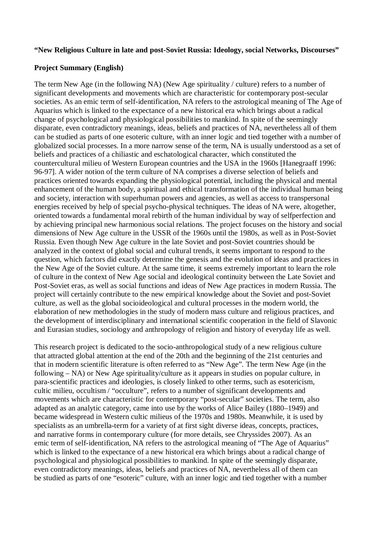## **"New Religious Culture in late and post-Soviet Russia: Ideology, social Networks, Discourses"**

## **Project Summary (English)**

The term New Age (in the following NA) (New Age spirituality / culture) refers to a number of significant developments and movements which are characteristic for contemporary post-secular societies. As an emic term of self-identification, NA refers to the astrological meaning of The Age of Aquarius which is linked to the expectance of a new historical era which brings about a radical change of psychological and physiological possibilities to mankind. In spite of the seemingly disparate, even contradictory meanings, ideas, beliefs and practices of NA, nevertheless all of them can be studied as parts of one esoteric culture, with an inner logic and tied together with a number of globalized social processes. In a more narrow sense of the term, NA is usually understood as a set of beliefs and practices of a chiliastic and eschatological character, which constituted the countercultural milieu of Western European countries and the USA in the 1960s [Hanegraaff 1996: 96-97]. A wider notion of the term culture of NA comprises a diverse selection of beliefs and practices oriented towards expanding the physiological potential, including the physical and mental enhancement of the human body, a spiritual and ethical transformation of the individual human being and society, interaction with superhuman powers and agencies, as well as access to transpersonal energies received by help of special psycho-physical techniques. The ideas of NA were, altogether, oriented towards a fundamental moral rebirth of the human individual by way of selfperfection and by achieving principal new harmonious social relations. The project focuses on the history and social dimensions of New Age culture in the USSR of the 1960s until the 1980s, as well as in Post-Soviet Russia. Even though New Age culture in the late Soviet and post-Soviet countries should be analyzed in the context of global social and cultural trends, it seems important to respond to the question, which factors did exactly determine the genesis and the evolution of ideas and practices in the New Age of the Soviet culture. At the same time, it seems extremely important to learn the role of culture in the context of New Age social and ideological continuity between the Late Soviet and Post-Soviet eras, as well as social functions and ideas of New Age practices in modern Russia. The project will certainly contribute to the new empirical knowledge about the Soviet and post-Soviet culture, as well as the global socioideological and cultural processes in the modern world, the elaboration of new methodologies in the study of modern mass culture and religious practices, and the development of interdisciplinary and international scientific cooperation in the field of Slavonic and Eurasian studies, sociology and anthropology of religion and history of everyday life as well.

This research project is dedicated to the socio-anthropological study of a new religious culture that attracted global attention at the end of the 20th and the beginning of the 21st centuries and that in modern scientific literature is often referred to as "New Age". The term New Age (in the following – NA) or New Age spirituality/culture as it appears in studies on popular culture, in para-scientific practices and ideologies, is closely linked to other terms, such as esotericism, cultic milieu, occultism / "occulture", refers to a number of significant developments and movements which are characteristic for contemporary "post-secular" societies. The term, also adapted as an analytic category, came into use by the works of Alice Bailey (1880–1949) and became widespread in Western cultic milieus of the 1970s and 1980s. Meanwhile, it is used by specialists as an umbrella-term for a variety of at first sight diverse ideas, concepts, practices, and narrative forms in contemporary culture (for more details, see Chryssides 2007). As an emic term of self-identification, NA refers to the astrological meaning of "The Age of Aquarius" which is linked to the expectance of a new historical era which brings about a radical change of psychological and physiological possibilities to mankind. In spite of the seemingly disparate, even contradictory meanings, ideas, beliefs and practices of NA, nevertheless all of them can be studied as parts of one "esoteric" culture, with an inner logic and tied together with a number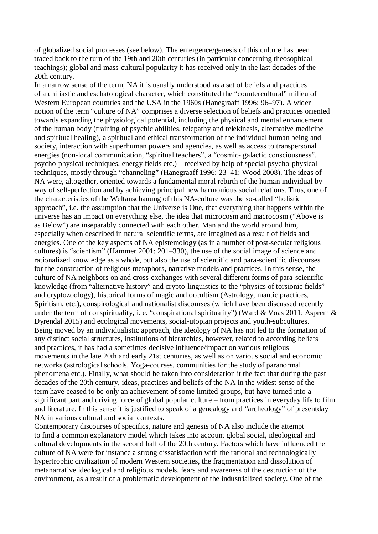of globalized social processes (see below). The emergence/genesis of this culture has been traced back to the turn of the 19th and 20th centuries (in particular concerning theosophical teachings); global and mass-cultural popularity it has received only in the last decades of the 20th century.

In a narrow sense of the term, NA it is usually understood as a set of beliefs and practices of a chiliastic and eschatological character, which constituted the "countercultural" milieu of Western European countries and the USA in the 1960s (Hanegraaff 1996: 96–97). A wider notion of the term "culture of NA" comprises a diverse selection of beliefs and practices oriented towards expanding the physiological potential, including the physical and mental enhancement of the human body (training of psychic abilities, telepathy and telekinesis, alternative medicine and spiritual healing), a spiritual and ethical transformation of the individual human being and society, interaction with superhuman powers and agencies, as well as access to transpersonal energies (non-local communication, "spiritual teachers", a "cosmic- galactic consciousness", psycho-physical techniques, energy fields etc.) – received by help of special psycho-physical techniques, mostly through "channeling" (Hanegraaff 1996: 23–41; Wood 2008). The ideas of NA were, altogether, oriented towards a fundamental moral rebirth of the human individual by way of self-perfection and by achieving principal new harmonious social relations. Thus, one of the characteristics of the Weltanschauung of this NA-culture was the so-called "holistic approach", i.e. the assumption that the Universe is One, that everything that happens within the universe has an impact on everything else, the idea that microcosm and macrocosm ("Above is as Below") are inseparably connected with each other. Man and the world around him, especially when described in natural scientific terms, are imagined as a result of fields and energies. One of the key aspects of NA epistemology (as in a number of post-secular religious cultures) is "scientism" (Hammer 2001: 201–330), the use of the social image of science and rationalized knowledge as a whole, but also the use of scientific and para-scientific discourses for the construction of religious metaphors, narrative models and practices. In this sense, the culture of NA neighbors on and cross-exchanges with several different forms of para-scientific knowledge (from "alternative history" and crypto-linguistics to the "physics of torsionic fields" and cryptozoology), historical forms of magic and occultism (Astrology, mantic practices, Spiritism, etc.), conspirological and nationalist discourses (which have been discussed recently under the term of conspirituality, i. e. "conspirational spirituality") (Ward & Voas 2011; Asprem & Dyrendal 2015) and ecological movements, social-utopian projects and youth-subcultures. Being moved by an individualistic approach, the ideology of NA has not led to the formation of any distinct social structures, institutions of hierarchies, however, related to according beliefs and practices, it has had a sometimes decisive influence/impact on various religious movements in the late 20th and early 21st centuries, as well as on various social and economic networks (astrological schools, Yoga-courses, communities for the study of paranormal phenomena etc.). Finally, what should be taken into consideration it the fact that during the past decades of the 20th century, ideas, practices and beliefs of the NA in the widest sense of the term have ceased to be only an achievement of some limited groups, but have turned into a significant part and driving force of global popular culture – from practices in everyday life to film and literature. In this sense it is justified to speak of a genealogy and "archeology" of presentday NA in various cultural and social contexts.

Contemporary discourses of specifics, nature and genesis of NA also include the attempt to find a common explanatory model which takes into account global social, ideological and cultural developments in the second half of the 20th century. Factors which have influenced the culture of NA were for instance a strong dissatisfaction with the rational and technologically hypertrophic civilization of modern Western societies, the fragmentation and dissolution of metanarrative ideological and religious models, fears and awareness of the destruction of the environment, as a result of a problematic development of the industrialized society. One of the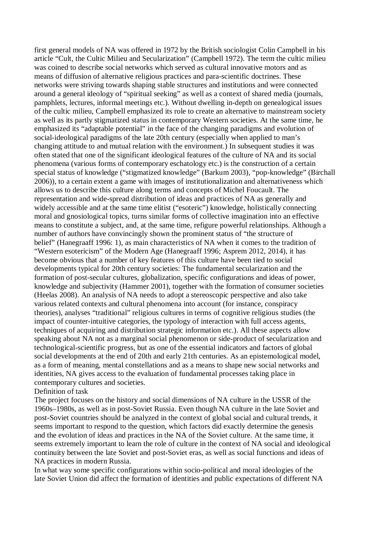first general models of NA was offered in 1972 by the British sociologist Colin Campbell in his article "Cult, the Cultic Milieu and Secularization" (Campbell 1972). The term the cultic milieu was coined to describe social networks which served as cultural innovative motors and as means of diffusion of alternative religious practices and para-scientific doctrines. These networks were striving towards shaping stable structures and institutions and were connected around a general ideology of "spiritual seeking" as well as a context of shared media (journals, pamphlets, lectures, informal meetings etc.). Without dwelling in-depth on genealogical issues of the cultic milieu, Campbell emphasized its role to create an alternative to mainstream society as well as its partly stigmatized status in contemporary Western societies. At the same time, he emphasized its "adaptable potential" in the face of the changing paradigms and evolution of social-ideological paradigms of the late 20th century (especially when applied to man's changing attitude to and mutual relation with the environment.) In subsequent studies it was often stated that one of the significant ideological features of the culture of NA and its social phenomena (various forms of contemporary eschatology etc.) is the construction of a certain special status of knowledge ("stigmatized knowledge" (Barkum 2003), "pop-knowledge" (Birchall 2006)), to a certain extent a game with images of institutionalization and alternativeness which allows us to describe this culture along terms and concepts of Michel Foucault. The representation and wide-spread distribution of ideas and practices of NA as generally and widely accessible and at the same time elitist ("esoteric") knowledge, holistically connecting moral and gnosiological topics, turns similar forms of collective imagination into an effective means to constitute a subject, and, at the same time, refigure powerful relationships. Although a number of authors have convincingly shown the prominent status of "the structure of belief" (Hanegraaff 1996: 1), as main characteristics of NA when it comes to the tradition of "Western esotericism" of the Modern Age (Hanegraaff 1996; Asprem 2012, 2014), it has become obvious that a number of key features of this culture have been tied to social developments typical for 20th century societies: The fundamental secularization and the formation of post-secular cultures, globalization, specific configurations and ideas of power, knowledge and subjectivity (Hammer 2001), together with the formation of consumer societies (Heelas 2008). An analysis of NA needs to adopt a stereoscopic perspective and also take various related contexts and cultural phenomena into account (for instance, conspiracy theories), analyses "traditional" religious cultures in terms of cognitive religious studies (the impact of counter-intuitive categories, the typology of interaction with full access agents, techniques of acquiring and distribution strategic information etc.). All these aspects allow speaking about NA not as a marginal social phenomenon or side-product of secularization and technological-scientific progress, but as one of the essential indicators and factors of global social developments at the end of 20th and early 21th centuries. As an epistemological model, as a form of meaning, mental constellations and as a means to shape new social networks and identities, NA gives access to the evaluation of fundamental processes taking place in contemporary cultures and societies.

## Definition of task

The project focuses on the history and social dimensions of NA culture in the USSR of the 1960s–1980s, as well as in post-Soviet Russia. Even though NA culture in the late Soviet and post-Soviet countries should be analyzed in the context of global social and cultural trends, it seems important to respond to the question, which factors did exactly determine the genesis and the evolution of ideas and practices in the NA of the Soviet culture. At the same time, it seems extremely important to learn the role of culture in the context of NA social and ideological continuity between the late Soviet and post-Soviet eras, as well as social functions and ideas of NA practices in modern Russia.

In what way some specific configurations within socio-political and moral ideologies of the late Soviet Union did affect the formation of identities and public expectations of different NA